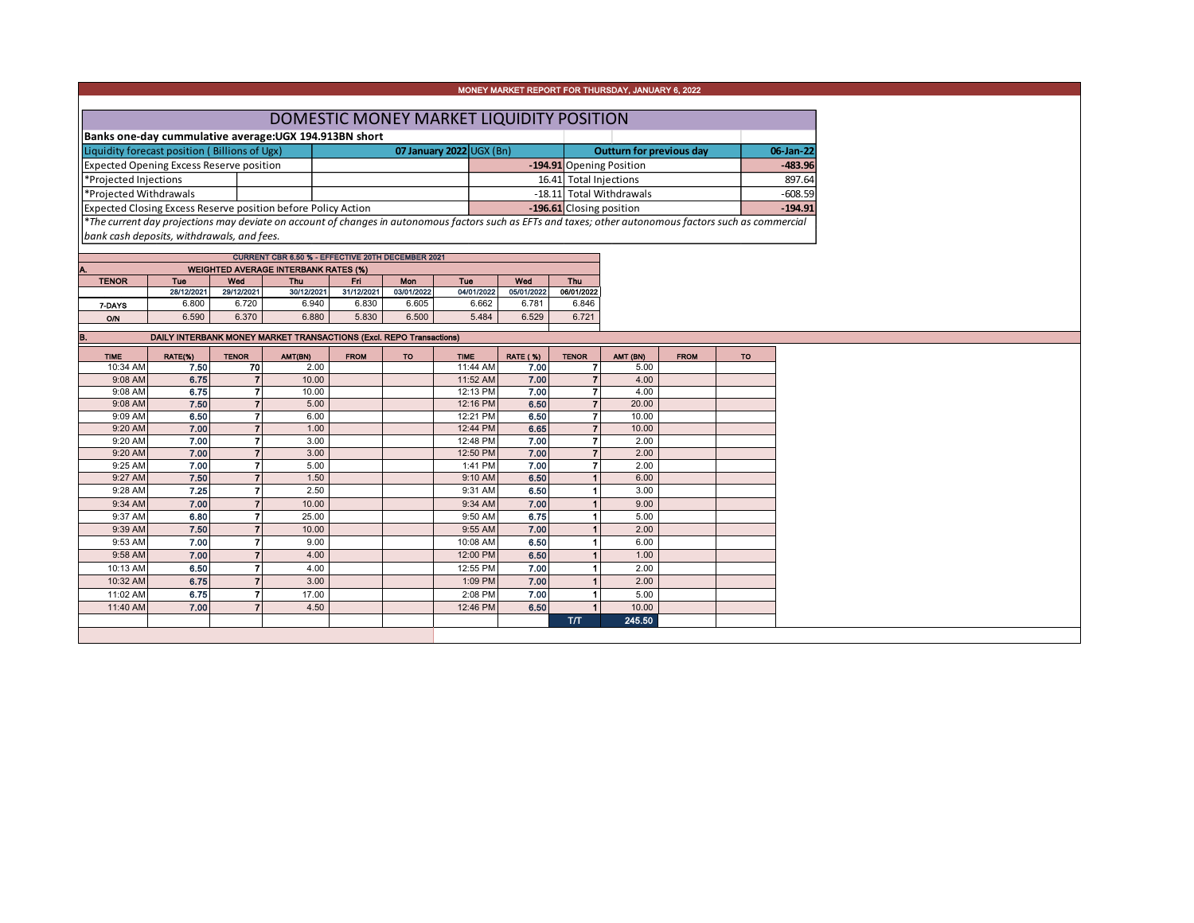|  |  | MONEY MARKET REPORT FOR THURSDAY, JANUARY 6, 2022 |
|--|--|---------------------------------------------------|
|  |  |                                                   |

| DOMESTIC MONEY MARKET LIQUIDITY POSITION                      |  |                                |                        |                          |           |           |  |  |  |  |  |  |
|---------------------------------------------------------------|--|--------------------------------|------------------------|--------------------------|-----------|-----------|--|--|--|--|--|--|
| Banks one-day cummulative average: UGX 194.913BN short        |  |                                |                        |                          |           |           |  |  |  |  |  |  |
| Liquidity forecast position (Billions of Ugx)                 |  | 07 January 2022 $\cup$ GX (Bn) |                        | Outturn for previous day | 06-Jan-22 |           |  |  |  |  |  |  |
| <b>Expected Opening Excess Reserve position</b>               |  |                                |                        | -194.91 Opening Position |           | $-483.96$ |  |  |  |  |  |  |
| *Projected Injections                                         |  |                                | 16.41 Total Injections | 897.64                   |           |           |  |  |  |  |  |  |
| *Projected Withdrawals                                        |  |                                |                        | -18.11 Total Withdrawals |           | $-608.59$ |  |  |  |  |  |  |
| Expected Closing Excess Reserve position before Policy Action |  |                                |                        | -196.61 Closing position |           | $-194.91$ |  |  |  |  |  |  |
|                                                               |  |                                |                        |                          |           |           |  |  |  |  |  |  |

\**The current day projections may deviate on account of changes in autonomous factors such as EFTs and taxes; other autonomous factors such as commercial bank cash deposits, withdrawals, and fees.*

| CURRENT CBR 6.50 % - EFFECTIVE 20TH DECEMBER 2021 |            |            |            |            |            |            |            |            |  |  |  |  |  |  |
|---------------------------------------------------|------------|------------|------------|------------|------------|------------|------------|------------|--|--|--|--|--|--|
| <b>WEIGHTED AVERAGE INTERBANK RATES (%)</b><br>А. |            |            |            |            |            |            |            |            |  |  |  |  |  |  |
| <b>TENOR</b>                                      | Tue        | Wed        | <b>Thu</b> | Fri        | Mon        | Tue        | Wed        | <b>Thu</b> |  |  |  |  |  |  |
|                                                   | 28/12/2021 | 29/12/2021 | 30/12/2021 | 31/12/2021 | 03/01/2022 | 04/01/2022 | 05/01/2022 | 06/01/2022 |  |  |  |  |  |  |
| 7 DAYS                                            | 6.800      | 6.720      | 6.940      | 6.830      | 6.605      | 6.662      | 6.781      | 6.846      |  |  |  |  |  |  |
| O/N                                               | 6.590      | 6.370      | 6.880      | 5.830      | 6.500      | 5.484      | 6.529      | 6.721      |  |  |  |  |  |  |
|                                                   |            |            |            |            |            |            |            |            |  |  |  |  |  |  |

| B.          | DAILY INTERBANK MONEY MARKET TRANSACTIONS (Excl. REPO Transactions) |                |         |             |           |             |                 |                |          |             |           |
|-------------|---------------------------------------------------------------------|----------------|---------|-------------|-----------|-------------|-----------------|----------------|----------|-------------|-----------|
| <b>TIME</b> | RATE(%)                                                             | <b>TENOR</b>   | AMT(BN) | <b>FROM</b> | <b>TO</b> | <b>TIME</b> | <b>RATE (%)</b> | <b>TENOR</b>   | AMT (BN) | <b>FROM</b> | <b>TO</b> |
| 10:34 AM    | 7.50                                                                | 70             | 2.00    |             |           | 11:44 AM    | 7.00            | 7              | 5.00     |             |           |
| 9:08 AM     | 6.75                                                                |                | 10.00   |             |           | 11:52 AM    | 7.00            | $\overline{7}$ | 4.00     |             |           |
| 9:08 AM     | 6.75                                                                |                | 10.00   |             |           | 12:13 PM    | 7.00            | $\overline{7}$ | 4.00     |             |           |
| 9:08 AM     | 7.50                                                                |                | 5.00    |             |           | 12:16 PM    | 6.50            | $\overline{7}$ | 20.00    |             |           |
| 9:09 AM     | 6.50                                                                |                | 6.00    |             |           | 12:21 PM    | 6.50            | $\overline{ }$ | 10.00    |             |           |
| 9:20 AM     | 7.00                                                                |                | 1.00    |             |           | 12:44 PM    | 6.65            | $\overline{7}$ | 10.00    |             |           |
| 9:20 AM     | 7.00                                                                |                | 3.00    |             |           | 12:48 PM    | 7.00            | $\overline{ }$ | 2.00     |             |           |
| 9:20 AM     | 7.00                                                                |                | 3.00    |             |           | 12:50 PM    | 7.00            | $\overline{7}$ | 2.00     |             |           |
| 9:25 AM     | 7.00                                                                |                | 5.00    |             |           | 1:41 PM     | 7.00            | 7              | 2.00     |             |           |
| 9:27 AM     | 7.50                                                                |                | 1.50    |             |           | $9:10$ AM   | 6.50            |                | 6.00     |             |           |
| 9:28 AM     | 7.25                                                                |                | 2.50    |             |           | 9:31 AM     | 6.50            |                | 3.00     |             |           |
| 9:34 AM     | 7.00                                                                | $\overline{ }$ | 10.00   |             |           | 9:34 AM     | 7.00            |                | 9.00     |             |           |
| 9:37 AM     | 6.80                                                                |                | 25.00   |             |           | 9:50 AM     | 6.75            |                | 5.00     |             |           |
| 9:39 AM     | 7.50                                                                |                | 10.00   |             |           | $9:55$ AM   | 7.00            |                | 2.00     |             |           |
| 9:53 AM     | 7.00                                                                |                | 9.00    |             |           | 10:08 AM    | 6.50            |                | 6.00     |             |           |
| 9:58 AM     | 7.00                                                                |                | 4.00    |             |           | 12:00 PM    | 6.50            |                | 1.00     |             |           |
| 10:13 AM    | 6.50                                                                |                | 4.00    |             |           | 12:55 PM    | 7.00            |                | 2.00     |             |           |
| 10:32 AM    | 6.75                                                                |                | 3.00    |             |           | 1:09 PM     | 7.00            |                | 2.00     |             |           |
| 11:02 AM    | 6.75                                                                |                | 17.00   |             |           | 2:08 PM     | 7.00            |                | 5.00     |             |           |
| 11:40 AM    | 7.00                                                                |                | 4.50    |             |           | 12:46 PM    | 6.50            |                | 10.00    |             |           |
|             |                                                                     |                |         |             |           |             |                 | T/T            | 245.50   |             |           |
|             |                                                                     |                |         |             |           |             |                 |                |          |             |           |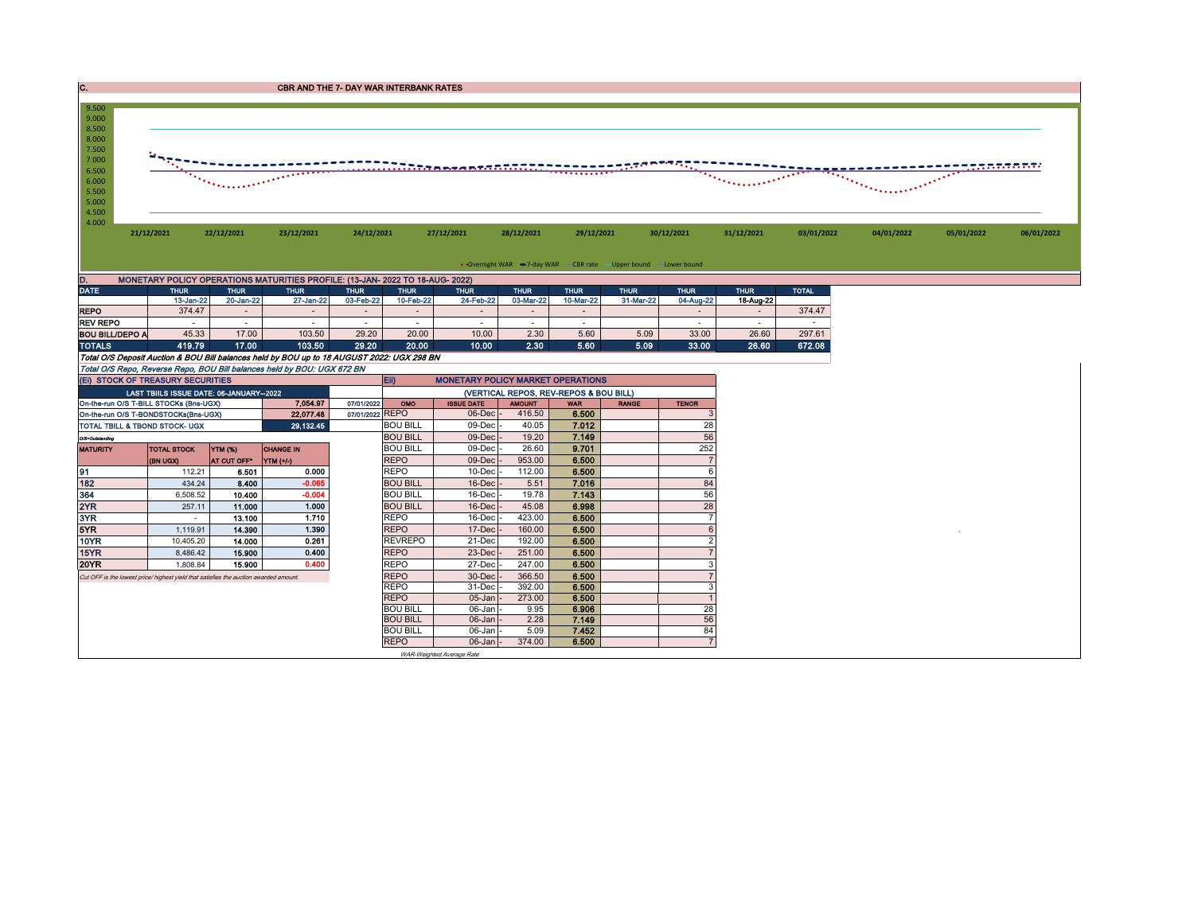| C.                                                                                                       |                                         |                                                                                                                                                                                                                                                         | <b>CBR AND THE 7- DAY WAR INTERBANK RATES</b>                                 |                 |                              |                                          |                                      |                                        |                                                                   |              |                                                                                                                                                                                                                                                          |              |            |                                               |            |
|----------------------------------------------------------------------------------------------------------|-----------------------------------------|---------------------------------------------------------------------------------------------------------------------------------------------------------------------------------------------------------------------------------------------------------|-------------------------------------------------------------------------------|-----------------|------------------------------|------------------------------------------|--------------------------------------|----------------------------------------|-------------------------------------------------------------------|--------------|----------------------------------------------------------------------------------------------------------------------------------------------------------------------------------------------------------------------------------------------------------|--------------|------------|-----------------------------------------------|------------|
| 9.500<br>9.000<br>8.500<br>8.000<br>7.500<br>7.000<br>6.500<br>6.000<br>5.500<br>5.000<br>4.500<br>4.000 | 21/12/2021                              | $\mathcal{L}_{\text{MSE}}$ , and the set of the set of the set of the set of the set of the set of the set of the set of the set of the set of the set of the set of the set of the set of the set of the set of the set of the set of th<br>22/12/2021 | 23/12/2021                                                                    | 24/12/2021      |                              | 27/12/2021                               | 28/12/2021                           | 29/12/2021                             |                                                                   | 30/12/2021   | <b><i>Proprietory Construction of the Construction of the Construction of the Construction of the Construction of the Construction of the Construction of the Construction of the Construction of the Construction of the Construc</i></b><br>31/12/2021 | 03/01/2022   | 04/01/2022 | $\frac{1}{\sqrt{2557.5557576}}$<br>05/01/2022 | 06/01/2022 |
|                                                                                                          |                                         |                                                                                                                                                                                                                                                         |                                                                               |                 |                              |                                          |                                      |                                        | • Overnight WAR -7-day WAR - CBR rate - Upper bound - Lower bound |              |                                                                                                                                                                                                                                                          |              |            |                                               |            |
| D.                                                                                                       |                                         |                                                                                                                                                                                                                                                         | MONETARY POLICY OPERATIONS MATURITIES PROFILE: (13-JAN- 2022 TO 18-AUG- 2022) |                 |                              |                                          |                                      |                                        |                                                                   |              |                                                                                                                                                                                                                                                          |              |            |                                               |            |
| <b>DATE</b>                                                                                              | <b>THUR</b>                             | <b>THUR</b>                                                                                                                                                                                                                                             | <b>THUR</b>                                                                   | <b>THUR</b>     | <b>THUR</b>                  | <b>THUR</b>                              | <b>THUR</b>                          | <b>THUR</b>                            | <b>THUR</b>                                                       | <b>THUR</b>  | <b>THUR</b>                                                                                                                                                                                                                                              | <b>TOTAL</b> |            |                                               |            |
|                                                                                                          | 13-Jan-22                               | 20-Jan-22                                                                                                                                                                                                                                               | $27$ -Jan-22                                                                  | 03-Feb-22       | 10-Feb-22                    | 24-Feb-22                                | 03-Mar-22                            | 10-Mar-22                              | 31-Mar-22                                                         | 04-Aug-22    | 18-Aug-22                                                                                                                                                                                                                                                |              |            |                                               |            |
| <b>REPO</b>                                                                                              | 374.47                                  | $\sim$                                                                                                                                                                                                                                                  | $\sim$                                                                        | $\sim$          | $\sim$                       | $\sim$                                   |                                      | $\sim$                                 |                                                                   | $\sim$       | $\sim$                                                                                                                                                                                                                                                   | 374.47       |            |                                               |            |
| <b>REV REPO</b>                                                                                          |                                         | $\sim$                                                                                                                                                                                                                                                  |                                                                               | $\sim$          | ٠                            | $\sim$                                   |                                      |                                        |                                                                   | $\sim$       | $\sim$                                                                                                                                                                                                                                                   |              |            |                                               |            |
| <b>BOU BILL/DEPO A</b>                                                                                   | 45.33                                   | 17.00                                                                                                                                                                                                                                                   | 103.50                                                                        | 29.20           | 20.00                        | 10.00                                    | 2.30                                 | 5.60                                   | 5.09                                                              | 33.00        | 26.60                                                                                                                                                                                                                                                    | 297.61       |            |                                               |            |
| <b>TOTALS</b>                                                                                            | 419.79                                  | 17.00                                                                                                                                                                                                                                                   | 103.50                                                                        | 29.20           | 20.00                        | 10.00                                    | 2.30                                 | 5.60                                   | 5.09                                                              | 33.00        | 26.60                                                                                                                                                                                                                                                    | 672.08       |            |                                               |            |
| Total O/S Deposit Auction & BOU Bill balances held by BOU up to 18 AUGUST 2022: UGX 298 BN               |                                         |                                                                                                                                                                                                                                                         |                                                                               |                 |                              |                                          |                                      |                                        |                                                                   |              |                                                                                                                                                                                                                                                          |              |            |                                               |            |
| Total O/S Repo, Reverse Repo, BOU Bill balances held by BOU: UGX 672 BN                                  |                                         |                                                                                                                                                                                                                                                         |                                                                               |                 |                              |                                          |                                      |                                        |                                                                   |              |                                                                                                                                                                                                                                                          |              |            |                                               |            |
| (EI) STOCK OF TREASURY SECURITIES                                                                        |                                         |                                                                                                                                                                                                                                                         |                                                                               |                 | Eii)                         | <b>MONETARY POLICY MARKET OPERATIONS</b> |                                      |                                        |                                                                   |              |                                                                                                                                                                                                                                                          |              |            |                                               |            |
|                                                                                                          | LAST TBIILS ISSUE DATE: 06-JANUARY-2022 |                                                                                                                                                                                                                                                         |                                                                               |                 |                              |                                          |                                      | (VERTICAL REPOS, REV-REPOS & BOU BILL) |                                                                   |              |                                                                                                                                                                                                                                                          |              |            |                                               |            |
| On-the-run O/S T-BILL STOCKs (Bns-UGX)                                                                   |                                         |                                                                                                                                                                                                                                                         | 7.054.97                                                                      | 07/01/2022      | OMO                          | <b>ISSUE DATE</b>                        | <b>AMOUNT</b>                        | <b>WAR</b>                             | <b>RANGE</b>                                                      | <b>TENOR</b> |                                                                                                                                                                                                                                                          |              |            |                                               |            |
| On-the-run O/S T-BONDSTOCKs(Bns-UGX)                                                                     |                                         |                                                                                                                                                                                                                                                         | 22,077.48                                                                     | 07/01/2022 REPO |                              | 06-Dec                                   | 416.50                               | 6.500                                  |                                                                   |              |                                                                                                                                                                                                                                                          |              |            |                                               |            |
| <b>TOTAL TBILL &amp; TBOND STOCK- UGX</b>                                                                |                                         |                                                                                                                                                                                                                                                         | 29,132.45                                                                     |                 | <b>BOU BILL</b><br>$- - - -$ | 09-Dec                                   | 40.05<br>$\sim$ $\sim$ $\sim$ $\sim$ | 7.012<br>$  -$                         |                                                                   | 28           |                                                                                                                                                                                                                                                          |              |            |                                               |            |

| TOTAL TBILL & TBOND STOCK- UGX                                                       |                    |                | 29,132.45        |             | <b>BOU BILL</b>           | 09-Dec -            | 40.05  | 7.012 | 28  |
|--------------------------------------------------------------------------------------|--------------------|----------------|------------------|-------------|---------------------------|---------------------|--------|-------|-----|
| O/S=Outstanding                                                                      |                    |                |                  |             | <b>BOU BILL</b>           | $09$ -Dec $-$       | 19.20  | 7.149 | 56  |
| <b>MATURITY</b>                                                                      | <b>TOTAL STOCK</b> | <b>YTM (%)</b> | <b>CHANGE IN</b> |             | <b>BOU BILL</b>           | $09$ -Dec $\cdot$   | 26.60  | 9.701 | 252 |
|                                                                                      | (BN UGX)           | AT CUT OFF*    | YTM (+/-)        | <b>REPO</b> |                           | $09$ -Dec           | 953.00 | 6.500 |     |
| 91                                                                                   | 112.21             | 6.501          | 0.000            | REPO        |                           | $10$ -Dec           | 112.00 | 6.500 |     |
| 182                                                                                  | 434.24             | 8.400          | $-0.065$         |             | <b>BOU BILL</b>           | $16$ -Dec           | 5.51   | 7.016 | 84  |
| 364                                                                                  | 6,508.52           | 10.400         | $-0.004$         |             | <b>BOU BILL</b>           | 16-Dec              | 19.78  | 7.143 | 56  |
| 2YR                                                                                  | 257.11             | 11.000         | 1.000            |             | <b>BOU BILL</b>           | $16$ -Dec $\vert$ - | 45.08  | 6.998 | 28  |
| 3YR                                                                                  | $\sim$             | 13.100         | 1.710            | REPO        |                           | 16-Dec              | 423.00 | 6.500 |     |
| 5YR.                                                                                 | 1,119.91           | 14.390         | 1.390            | <b>REPO</b> |                           | $17$ -Dec $\vert$ - | 160.00 | 6.500 |     |
| 10YR                                                                                 | 10,405.20          | 14.000         | 0.261            |             | <b>REVREPO</b>            | 21-Dec              | 192.00 | 6.500 |     |
| 15YR                                                                                 | 8,486.42           | 15.900         | 0.400            | <b>REPO</b> |                           | $23$ -Dec           | 251.00 | 6.500 |     |
| 20YR                                                                                 | 1,808.84           | 15.900         | 0.400            | REPO        |                           | 27-Dec              | 247.00 | 6.500 |     |
| Cut OFF is the lowest price/highest yield that satisfies the auction awarded amount. |                    |                |                  | <b>REPO</b> |                           | $30 - Dec$          | 366.50 | 6.500 |     |
|                                                                                      |                    |                |                  | <b>REPO</b> |                           | 31-Dec              | 392.00 | 6.500 |     |
|                                                                                      |                    |                |                  | <b>REPO</b> |                           | $05$ -Jan $-$       | 273.00 | 6.500 |     |
|                                                                                      |                    |                |                  |             | <b>BOU BILL</b>           | 06-Jan -            | 9.95   | 6.906 | 28  |
|                                                                                      |                    |                |                  |             | <b>BOU BILL</b>           | $06$ -Jan $\vert$ - | 2.28   | 7.149 | 56  |
|                                                                                      |                    |                |                  |             | <b>BOU BILL</b>           | 06-Jan -            | 5.09   | 7.452 | 84  |
|                                                                                      |                    |                |                  | <b>REPO</b> |                           | $06$ -Jan $\vert$ - | 374.00 | 6.500 |     |
|                                                                                      |                    |                |                  |             | WAR-Weighted Average Rate |                     |        |       |     |